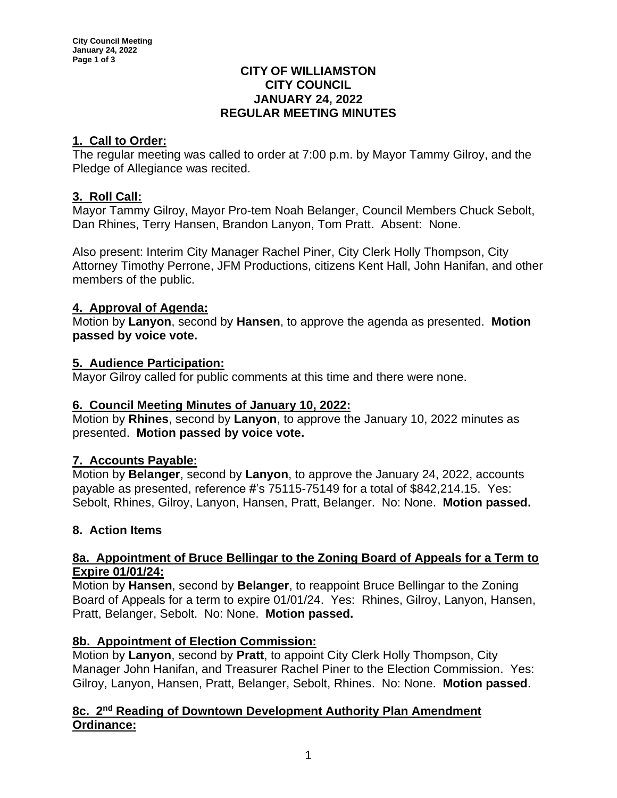#### **CITY OF WILLIAMSTON CITY COUNCIL JANUARY 24, 2022 REGULAR MEETING MINUTES**

# **1. Call to Order:**

The regular meeting was called to order at 7:00 p.m. by Mayor Tammy Gilroy, and the Pledge of Allegiance was recited.

## **3. Roll Call:**

Mayor Tammy Gilroy, Mayor Pro-tem Noah Belanger, Council Members Chuck Sebolt, Dan Rhines, Terry Hansen, Brandon Lanyon, Tom Pratt. Absent: None.

Also present: Interim City Manager Rachel Piner, City Clerk Holly Thompson, City Attorney Timothy Perrone, JFM Productions, citizens Kent Hall, John Hanifan, and other members of the public.

## **4. Approval of Agenda:**

Motion by **Lanyon**, second by **Hansen**, to approve the agenda as presented. **Motion passed by voice vote.**

## **5. Audience Participation:**

Mayor Gilroy called for public comments at this time and there were none.

### **6. Council Meeting Minutes of January 10, 2022:**

Motion by **Rhines**, second by **Lanyon**, to approve the January 10, 2022 minutes as presented. **Motion passed by voice vote.**

# **7. Accounts Payable:**

Motion by **Belanger**, second by **Lanyon**, to approve the January 24, 2022, accounts payable as presented, reference #'s 75115-75149 for a total of \$842,214.15. Yes: Sebolt, Rhines, Gilroy, Lanyon, Hansen, Pratt, Belanger. No: None. **Motion passed.**

# **8. Action Items**

### **8a. Appointment of Bruce Bellingar to the Zoning Board of Appeals for a Term to Expire 01/01/24:**

Motion by **Hansen**, second by **Belanger**, to reappoint Bruce Bellingar to the Zoning Board of Appeals for a term to expire 01/01/24. Yes: Rhines, Gilroy, Lanyon, Hansen, Pratt, Belanger, Sebolt. No: None. **Motion passed.**

### **8b. Appointment of Election Commission:**

Motion by **Lanyon**, second by **Pratt**, to appoint City Clerk Holly Thompson, City Manager John Hanifan, and Treasurer Rachel Piner to the Election Commission. Yes: Gilroy, Lanyon, Hansen, Pratt, Belanger, Sebolt, Rhines. No: None. **Motion passed**.

## **8c. 2 nd Reading of Downtown Development Authority Plan Amendment Ordinance:**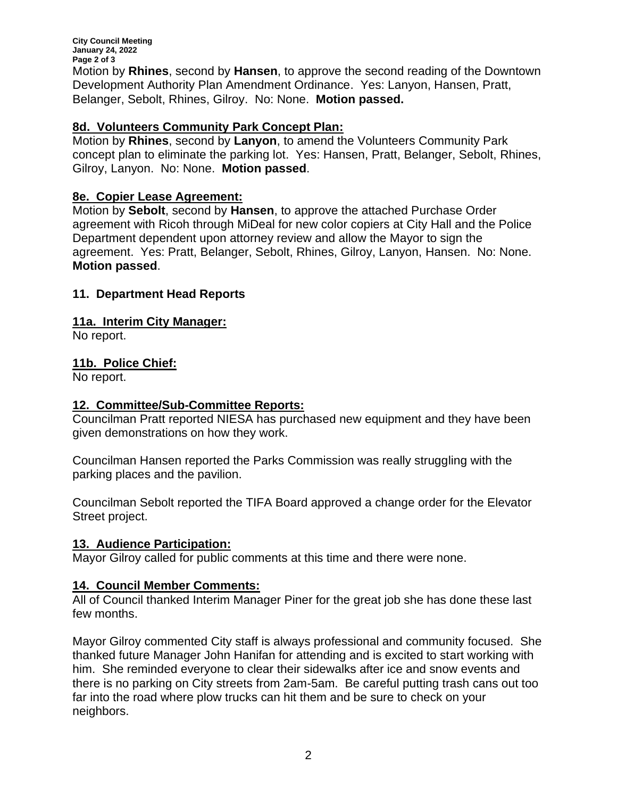**City Council Meeting January 24, 2022 Page 2 of 3** Motion by **Rhines**, second by **Hansen**, to approve the second reading of the Downtown Development Authority Plan Amendment Ordinance. Yes: Lanyon, Hansen, Pratt, Belanger, Sebolt, Rhines, Gilroy. No: None. **Motion passed.**

### **8d. Volunteers Community Park Concept Plan:**

Motion by **Rhines**, second by **Lanyon**, to amend the Volunteers Community Park concept plan to eliminate the parking lot. Yes: Hansen, Pratt, Belanger, Sebolt, Rhines, Gilroy, Lanyon. No: None. **Motion passed**.

### **8e. Copier Lease Agreement:**

Motion by **Sebolt**, second by **Hansen**, to approve the attached Purchase Order agreement with Ricoh through MiDeal for new color copiers at City Hall and the Police Department dependent upon attorney review and allow the Mayor to sign the agreement. Yes: Pratt, Belanger, Sebolt, Rhines, Gilroy, Lanyon, Hansen. No: None. **Motion passed**.

### **11. Department Head Reports**

### **11a. Interim City Manager:**

No report.

### **11b. Police Chief:**

No report.

### **12. Committee/Sub-Committee Reports:**

Councilman Pratt reported NIESA has purchased new equipment and they have been given demonstrations on how they work.

Councilman Hansen reported the Parks Commission was really struggling with the parking places and the pavilion.

Councilman Sebolt reported the TIFA Board approved a change order for the Elevator Street project.

### **13. Audience Participation:**

Mayor Gilroy called for public comments at this time and there were none.

### **14. Council Member Comments:**

All of Council thanked Interim Manager Piner for the great job she has done these last few months.

Mayor Gilroy commented City staff is always professional and community focused. She thanked future Manager John Hanifan for attending and is excited to start working with him. She reminded everyone to clear their sidewalks after ice and snow events and there is no parking on City streets from 2am-5am. Be careful putting trash cans out too far into the road where plow trucks can hit them and be sure to check on your neighbors.